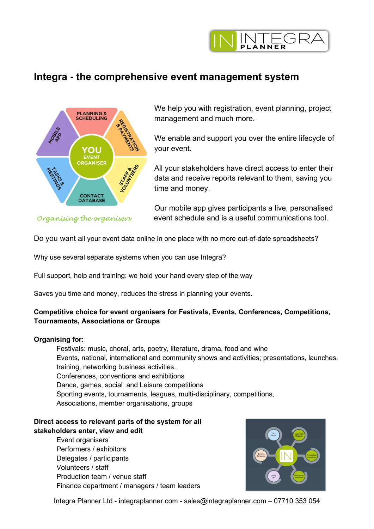

# Integra - the comprehensive event management system



 We help you with registration, event planning, project management and much more.

 We enable and support you over the entire lifecycle of your event.

 All your stakeholders have direct access to enter their data and receive reports relevant to them, saving you time and money.

 Our mobile app gives participants a live, personalised Organising the organisers event schedule and is a useful communications tool.

Do you want all your event data online in one place with no more out-of-date spreadsheets?

Why use several separate systems when you can use Integra?

Full support, help and training: we hold your hand every step of the way

Saves you time and money, reduces the stress in planning your events.

# Competitive choice for event organisers for Festivals, Events, Conferences, Competitions, Tournaments, Associations or Groups

### Organising for:

Festivals: music, choral, arts, poetry, literature, drama, food and wine Events, national, international and community shows and activities; presentations, launches, training, networking business activities.. Conferences, conventions and exhibitions Dance, games, social and Leisure competitions Sporting events, tournaments, leagues, multi-disciplinary, competitions, Associations, member organisations, groups

# Direct access to relevant parts of the system for all stakeholders enter, view and edit

Event organisers Performers / exhibitors Delegates / participants Volunteers / staff Production team / venue staff Finance department / managers / team leaders



Integra Planner Ltd - integraplanner.com - sales@integraplanner.com – 07710 353 054